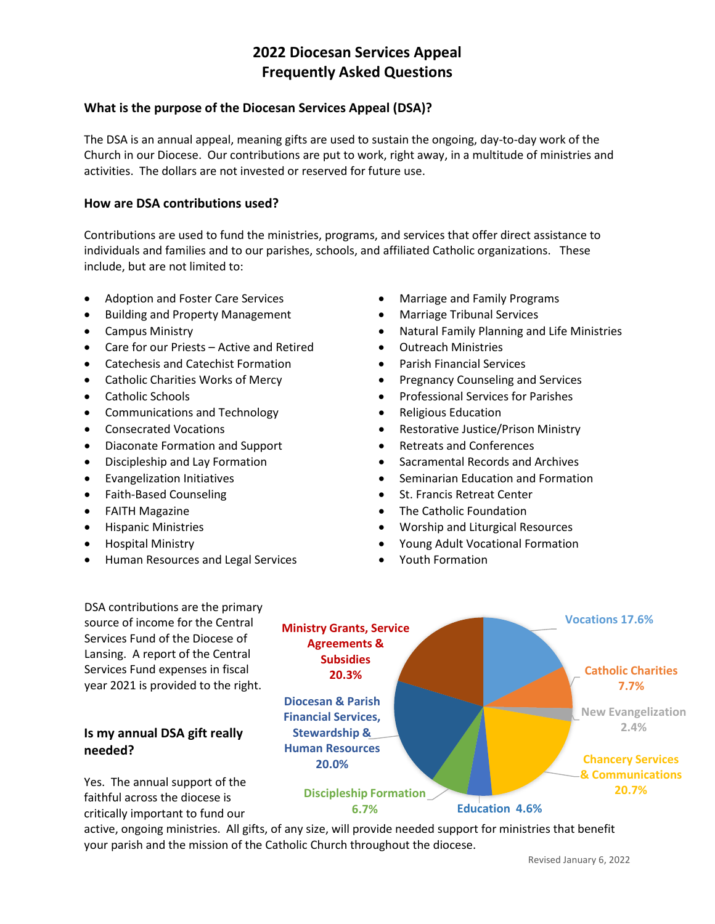# **2022 Diocesan Services Appeal Frequently Asked Questions**

### **What is the purpose of the Diocesan Services Appeal (DSA)?**

The DSA is an annual appeal, meaning gifts are used to sustain the ongoing, day-to-day work of the Church in our Diocese. Our contributions are put to work, right away, in a multitude of ministries and activities. The dollars are not invested or reserved for future use.

#### **How are DSA contributions used?**

Contributions are used to fund the ministries, programs, and services that offer direct assistance to individuals and families and to our parishes, schools, and affiliated Catholic organizations. These include, but are not limited to:

- Adoption and Foster Care Services
- Building and Property Management
- Campus Ministry
- Care for our Priests Active and Retired
- Catechesis and Catechist Formation
- Catholic Charities Works of Mercy
- Catholic Schools
- Communications and Technology
- Consecrated Vocations
- Diaconate Formation and Support
- Discipleship and Lay Formation
- Evangelization Initiatives
- Faith-Based Counseling
- FAITH Magazine
- Hispanic Ministries
- Hospital Ministry
- Human Resources and Legal Services
- Marriage and Family Programs
- Marriage Tribunal Services
- Natural Family Planning and Life Ministries
- Outreach Ministries
- Parish Financial Services
- Pregnancy Counseling and Services
- Professional Services for Parishes
- Religious Education
- Restorative Justice/Prison Ministry
- Retreats and Conferences
- Sacramental Records and Archives
- Seminarian Education and Formation
- St. Francis Retreat Center
- The Catholic Foundation
- Worship and Liturgical Resources
- Young Adult Vocational Formation
- Youth Formation

DSA contributions are the primary source of income for the Central Services Fund of the Diocese of Lansing. A report of the Central Services Fund expenses in fiscal year 2021 is provided to the right.

# **Is my annual DSA gift really needed?**

Yes. The annual support of the faithful across the diocese is critically important to fund our



active, ongoing ministries. All gifts, of any size, will provide needed support for ministries that benefit your parish and the mission of the Catholic Church throughout the diocese.